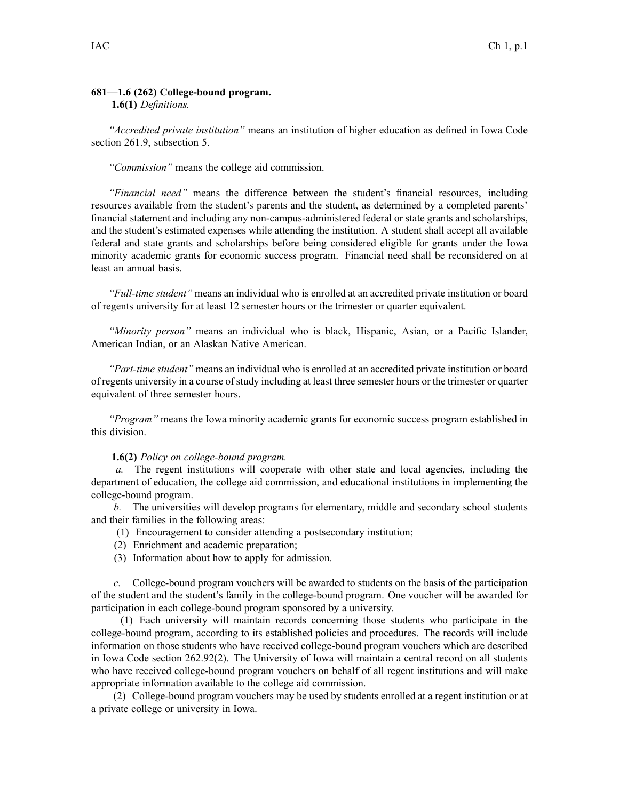## **681—1.6 (262) College-bound program.**

## **1.6(1)** *Definitions.*

*"Accredited private institution"* means an institution of higher education as defined in Iowa Code section 261.9, subsection 5.

*"Commission"* means the college aid commission.

*"Financial need"* means the difference between the student's financial resources, including resources available from the student's parents and the student, as determined by <sup>a</sup> completed parents' financial statement and including any non-campus-administered federal or state grants and scholarships, and the student's estimated expenses while attending the institution. A student shall accep<sup>t</sup> all available federal and state grants and scholarships before being considered eligible for grants under the Iowa minority academic grants for economic success program. Financial need shall be reconsidered on at least an annual basis.

*"Full-time student"* means an individual who is enrolled at an accredited private institution or board of regents university for at least 12 semester hours or the trimester or quarter equivalent.

*"Minority person"* means an individual who is black, Hispanic, Asian, or <sup>a</sup> Pacific Islander, American Indian, or an Alaskan Native American.

*"Part-time student"* means an individual who is enrolled at an accredited private institution or board of regents university in <sup>a</sup> course ofstudy including at least three semester hours or the trimester or quarter equivalent of three semester hours.

*"Program"* means the Iowa minority academic grants for economic success program established in this division.

## **1.6(2)** *Policy on college-bound program.*

*a.* The regen<sup>t</sup> institutions will cooperate with other state and local agencies, including the department of education, the college aid commission, and educational institutions in implementing the college-bound program.

*b.* The universities will develop programs for elementary, middle and secondary school students and their families in the following areas:

- (1) Encouragement to consider attending <sup>a</sup> postsecondary institution;
- (2) Enrichment and academic preparation;
- (3) Information about how to apply for admission.

*c.* College-bound program vouchers will be awarded to students on the basis of the participation of the student and the student's family in the college-bound program. One voucher will be awarded for participation in each college-bound program sponsored by <sup>a</sup> university.

(1) Each university will maintain records concerning those students who participate in the college-bound program, according to its established policies and procedures. The records will include information on those students who have received college-bound program vouchers which are described in Iowa Code section 262.92(2). The University of Iowa will maintain <sup>a</sup> central record on all students who have received college-bound program vouchers on behalf of all regen<sup>t</sup> institutions and will make appropriate information available to the college aid commission.

(2) College-bound program vouchers may be used by students enrolled at <sup>a</sup> regen<sup>t</sup> institution or at <sup>a</sup> private college or university in Iowa.